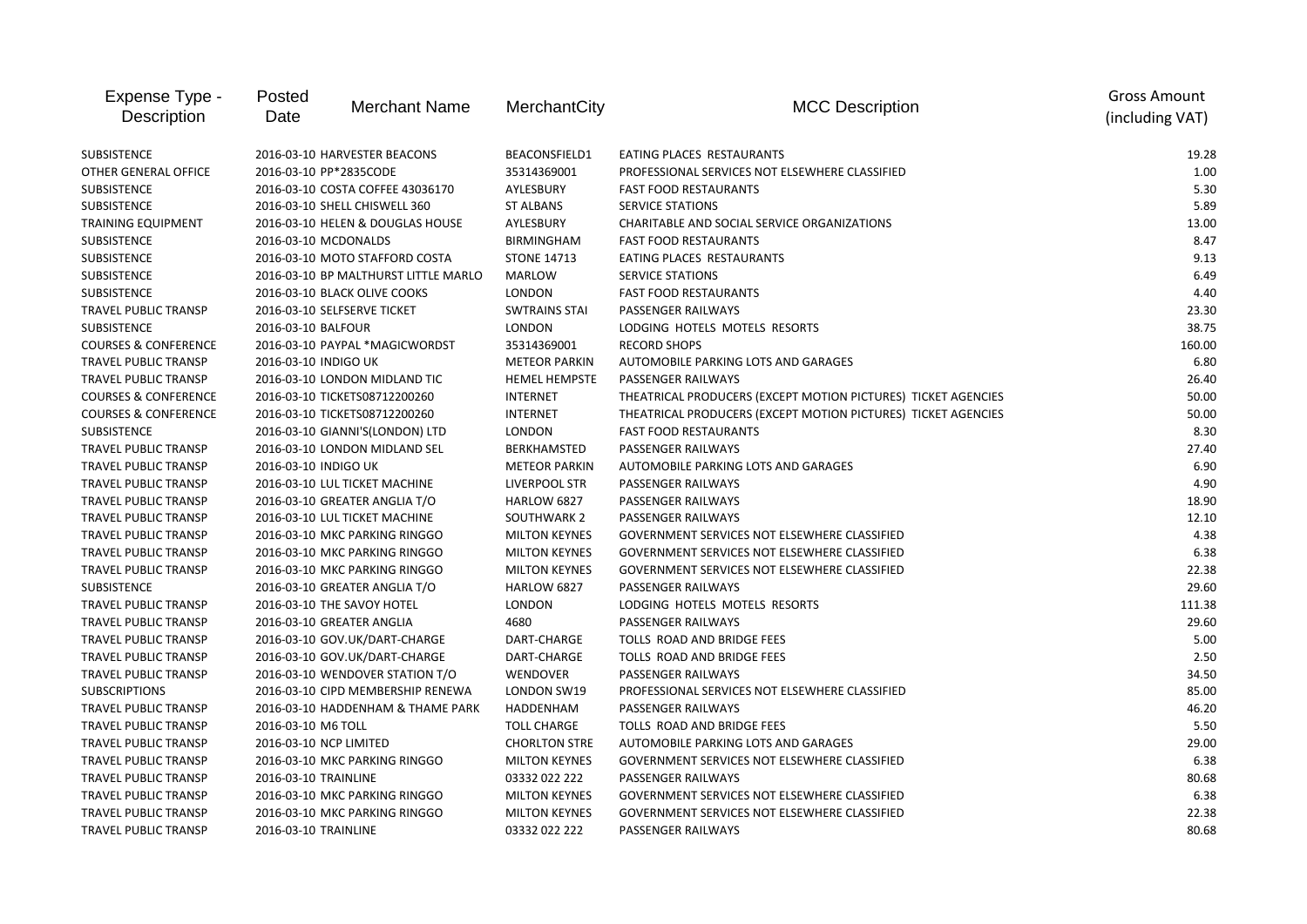| Expense Type -<br>Description   | Posted<br>Date         | <b>Merchant Name</b>                 | MerchantCity         | <b>MCC Description</b>                                        | <b>Gross Amount</b><br>(including VAT) |
|---------------------------------|------------------------|--------------------------------------|----------------------|---------------------------------------------------------------|----------------------------------------|
| <b>SUBSISTENCE</b>              |                        | 2016-03-10 HARVESTER BEACONS         | BEACONSFIELD1        | EATING PLACES RESTAURANTS                                     | 19.28                                  |
| <b>OTHER GENERAL OFFICE</b>     |                        | 2016-03-10 PP*2835CODE               | 35314369001          | PROFESSIONAL SERVICES NOT ELSEWHERE CLASSIFIED                | 1.00                                   |
| <b>SUBSISTENCE</b>              |                        | 2016-03-10 COSTA COFFEE 43036170     | AYLESBURY            | <b>FAST FOOD RESTAURANTS</b>                                  | 5.30                                   |
| <b>SUBSISTENCE</b>              |                        | 2016-03-10 SHELL CHISWELL 360        | <b>ST ALBANS</b>     | <b>SERVICE STATIONS</b>                                       | 5.89                                   |
| <b>TRAINING EQUIPMENT</b>       |                        | 2016-03-10 HELEN & DOUGLAS HOUSE     | AYLESBURY            | CHARITABLE AND SOCIAL SERVICE ORGANIZATIONS                   | 13.00                                  |
| SUBSISTENCE                     | 2016-03-10 MCDONALDS   |                                      | <b>BIRMINGHAM</b>    | <b>FAST FOOD RESTAURANTS</b>                                  | 8.47                                   |
| SUBSISTENCE                     |                        | 2016-03-10 MOTO STAFFORD COSTA       | <b>STONE 14713</b>   | EATING PLACES RESTAURANTS                                     | 9.13                                   |
| SUBSISTENCE                     |                        | 2016-03-10 BP MALTHURST LITTLE MARLO | <b>MARLOW</b>        | <b>SERVICE STATIONS</b>                                       | 6.49                                   |
| SUBSISTENCE                     |                        | 2016-03-10 BLACK OLIVE COOKS         | <b>LONDON</b>        | <b>FAST FOOD RESTAURANTS</b>                                  | 4.40                                   |
| TRAVEL PUBLIC TRANSP            |                        | 2016-03-10 SELFSERVE TICKET          | <b>SWTRAINS STAI</b> | PASSENGER RAILWAYS                                            | 23.30                                  |
| SUBSISTENCE                     | 2016-03-10 BALFOUR     |                                      | <b>LONDON</b>        | LODGING HOTELS MOTELS RESORTS                                 | 38.75                                  |
| <b>COURSES &amp; CONFERENCE</b> |                        | 2016-03-10 PAYPAL *MAGICWORDST       | 35314369001          | <b>RECORD SHOPS</b>                                           | 160.00                                 |
| TRAVEL PUBLIC TRANSP            | 2016-03-10 INDIGO UK   |                                      | <b>METEOR PARKIN</b> | AUTOMOBILE PARKING LOTS AND GARAGES                           | 6.80                                   |
| <b>TRAVEL PUBLIC TRANSP</b>     |                        | 2016-03-10 LONDON MIDLAND TIC        | <b>HEMEL HEMPSTE</b> | PASSENGER RAILWAYS                                            | 26.40                                  |
| <b>COURSES &amp; CONFERENCE</b> |                        | 2016-03-10 TICKETS08712200260        | <b>INTERNET</b>      | THEATRICAL PRODUCERS (EXCEPT MOTION PICTURES) TICKET AGENCIES | 50.00                                  |
| <b>COURSES &amp; CONFERENCE</b> |                        | 2016-03-10 TICKETS08712200260        | <b>INTERNET</b>      | THEATRICAL PRODUCERS (EXCEPT MOTION PICTURES) TICKET AGENCIES | 50.00                                  |
| <b>SUBSISTENCE</b>              |                        | 2016-03-10 GIANNI'S(LONDON) LTD      | <b>LONDON</b>        | <b>FAST FOOD RESTAURANTS</b>                                  | 8.30                                   |
| TRAVEL PUBLIC TRANSP            |                        | 2016-03-10 LONDON MIDLAND SEL        | <b>BERKHAMSTED</b>   | <b>PASSENGER RAILWAYS</b>                                     | 27.40                                  |
| TRAVEL PUBLIC TRANSP            | 2016-03-10 INDIGO UK   |                                      | <b>METEOR PARKIN</b> | AUTOMOBILE PARKING LOTS AND GARAGES                           | 6.90                                   |
| TRAVEL PUBLIC TRANSP            |                        | 2016-03-10 LUL TICKET MACHINE        | LIVERPOOL STR        | PASSENGER RAILWAYS                                            | 4.90                                   |
| TRAVEL PUBLIC TRANSP            |                        | 2016-03-10 GREATER ANGLIA T/O        | HARLOW 6827          | PASSENGER RAILWAYS                                            | 18.90                                  |
| <b>TRAVEL PUBLIC TRANSP</b>     |                        | 2016-03-10 LUL TICKET MACHINE        | SOUTHWARK 2          | PASSENGER RAILWAYS                                            | 12.10                                  |
| TRAVEL PUBLIC TRANSP            |                        | 2016-03-10 MKC PARKING RINGGO        | <b>MILTON KEYNES</b> | GOVERNMENT SERVICES NOT ELSEWHERE CLASSIFIED                  | 4.38                                   |
| TRAVEL PUBLIC TRANSP            |                        | 2016-03-10 MKC PARKING RINGGO        | <b>MILTON KEYNES</b> | GOVERNMENT SERVICES NOT ELSEWHERE CLASSIFIED                  | 6.38                                   |
| <b>TRAVEL PUBLIC TRANSP</b>     |                        | 2016-03-10 MKC PARKING RINGGO        | <b>MILTON KEYNES</b> | GOVERNMENT SERVICES NOT ELSEWHERE CLASSIFIED                  | 22.38                                  |
| SUBSISTENCE                     |                        | 2016-03-10 GREATER ANGLIA T/O        | HARLOW 6827          | PASSENGER RAILWAYS                                            | 29.60                                  |
| <b>TRAVEL PUBLIC TRANSP</b>     |                        | 2016-03-10 THE SAVOY HOTEL           | <b>LONDON</b>        | LODGING HOTELS MOTELS RESORTS                                 | 111.38                                 |
| TRAVEL PUBLIC TRANSP            |                        | 2016-03-10 GREATER ANGLIA            | 4680                 | PASSENGER RAILWAYS                                            | 29.60                                  |
| <b>TRAVEL PUBLIC TRANSP</b>     |                        | 2016-03-10 GOV.UK/DART-CHARGE        | DART-CHARGE          | TOLLS ROAD AND BRIDGE FEES                                    | 5.00                                   |
| <b>TRAVEL PUBLIC TRANSP</b>     |                        | 2016-03-10 GOV.UK/DART-CHARGE        | DART-CHARGE          | TOLLS ROAD AND BRIDGE FEES                                    | 2.50                                   |
| TRAVEL PUBLIC TRANSP            |                        | 2016-03-10 WENDOVER STATION T/O      | <b>WENDOVER</b>      | <b>PASSENGER RAILWAYS</b>                                     | 34.50                                  |
| <b>SUBSCRIPTIONS</b>            |                        | 2016-03-10 CIPD MEMBERSHIP RENEWA    | LONDON SW19          | PROFESSIONAL SERVICES NOT ELSEWHERE CLASSIFIED                | 85.00                                  |
| <b>TRAVEL PUBLIC TRANSP</b>     |                        | 2016-03-10 HADDENHAM & THAME PARK    | HADDENHAM            | PASSENGER RAILWAYS                                            | 46.20                                  |
| TRAVEL PUBLIC TRANSP            | 2016-03-10 M6 TOLL     |                                      | <b>TOLL CHARGE</b>   | TOLLS ROAD AND BRIDGE FEES                                    | 5.50                                   |
| TRAVEL PUBLIC TRANSP            | 2016-03-10 NCP LIMITED |                                      | <b>CHORLTON STRE</b> | AUTOMOBILE PARKING LOTS AND GARAGES                           | 29.00                                  |
| TRAVEL PUBLIC TRANSP            |                        | 2016-03-10 MKC PARKING RINGGO        | <b>MILTON KEYNES</b> | GOVERNMENT SERVICES NOT ELSEWHERE CLASSIFIED                  | 6.38                                   |
| <b>TRAVEL PUBLIC TRANSP</b>     | 2016-03-10 TRAINLINE   |                                      | 03332 022 222        | PASSENGER RAILWAYS                                            | 80.68                                  |
| TRAVEL PUBLIC TRANSP            |                        | 2016-03-10 MKC PARKING RINGGO        | <b>MILTON KEYNES</b> | GOVERNMENT SERVICES NOT ELSEWHERE CLASSIFIED                  | 6.38                                   |
| TRAVEL PUBLIC TRANSP            |                        | 2016-03-10 MKC PARKING RINGGO        | <b>MILTON KEYNES</b> | <b>GOVERNMENT SERVICES NOT ELSEWHERE CLASSIFIED</b>           | 22.38                                  |
| <b>TRAVEL PUBLIC TRANSP</b>     | 2016-03-10 TRAINLINE   |                                      | 03332 022 222        | PASSENGER RAILWAYS                                            | 80.68                                  |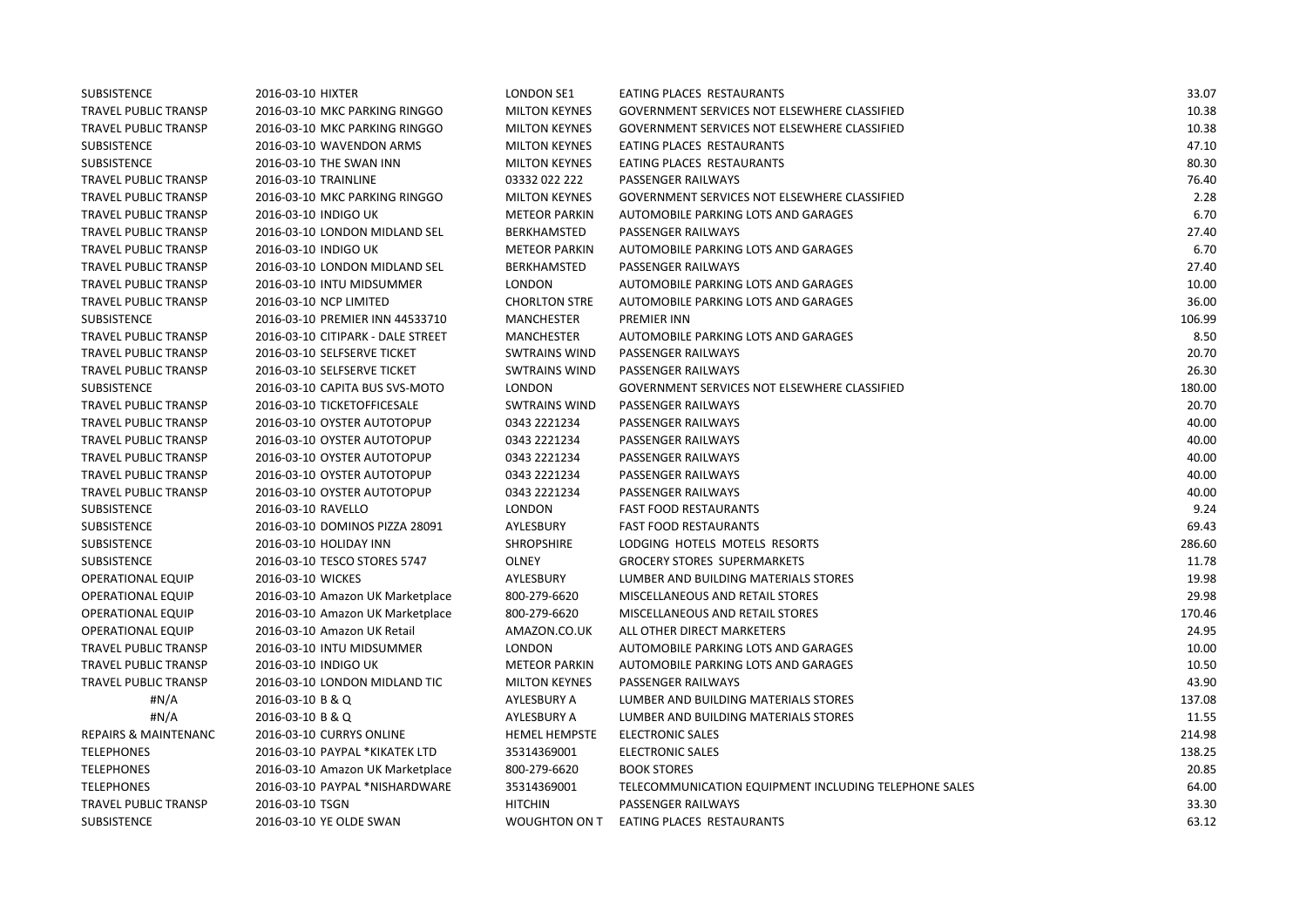| SUBSISTENCE          | 2016-03-10 HIXTER                 | LONDON SE1           | EATING PLACES RESTAURANTS                             | 33.07  |
|----------------------|-----------------------------------|----------------------|-------------------------------------------------------|--------|
| TRAVEL PUBLIC TRANSP | 2016-03-10 MKC PARKING RINGGO     | <b>MILTON KEYNES</b> | GOVERNMENT SERVICES NOT ELSEWHERE CLASSIFIED          | 10.38  |
| TRAVEL PUBLIC TRANSP | 2016-03-10 MKC PARKING RINGGO     | <b>MILTON KEYNES</b> | GOVERNMENT SERVICES NOT ELSEWHERE CLASSIFIED          | 10.38  |
| SUBSISTENCE          | 2016-03-10 WAVENDON ARMS          | <b>MILTON KEYNES</b> | EATING PLACES RESTAURANTS                             | 47.10  |
| SUBSISTENCE          | 2016-03-10 THE SWAN INN           | <b>MILTON KEYNES</b> | EATING PLACES RESTAURANTS                             | 80.30  |
| TRAVEL PUBLIC TRANSP | 2016-03-10 TRAINLINE              | 03332 022 222        | <b>PASSENGER RAILWAYS</b>                             | 76.40  |
| TRAVEL PUBLIC TRANSP | 2016-03-10 MKC PARKING RINGGO     | <b>MILTON KEYNES</b> | GOVERNMENT SERVICES NOT ELSEWHERE CLASSIFIED          | 2.28   |
| TRAVEL PUBLIC TRANSP | 2016-03-10 INDIGO UK              | <b>METEOR PARKIN</b> | AUTOMOBILE PARKING LOTS AND GARAGES                   | 6.70   |
| TRAVEL PUBLIC TRANSP | 2016-03-10 LONDON MIDLAND SEL     | BERKHAMSTED          | <b>PASSENGER RAILWAYS</b>                             | 27.40  |
| TRAVEL PUBLIC TRANSP | 2016-03-10 INDIGO UK              | <b>METEOR PARKIN</b> | AUTOMOBILE PARKING LOTS AND GARAGES                   | 6.70   |
| TRAVEL PUBLIC TRANSP | 2016-03-10 LONDON MIDLAND SEL     | <b>BERKHAMSTED</b>   | PASSENGER RAILWAYS                                    | 27.40  |
| TRAVEL PUBLIC TRANSP | 2016-03-10 INTU MIDSUMMER         | <b>LONDON</b>        | AUTOMOBILE PARKING LOTS AND GARAGES                   | 10.00  |
| TRAVEL PUBLIC TRANSP | 2016-03-10 NCP LIMITED            | <b>CHORLTON STRE</b> | AUTOMOBILE PARKING LOTS AND GARAGES                   | 36.00  |
| SUBSISTENCE          | 2016-03-10 PREMIER INN 44533710   | <b>MANCHESTER</b>    | <b>PREMIER INN</b>                                    | 106.99 |
| TRAVEL PUBLIC TRANSP | 2016-03-10 CITIPARK - DALE STREET | <b>MANCHESTER</b>    | AUTOMOBILE PARKING LOTS AND GARAGES                   | 8.50   |
| TRAVEL PUBLIC TRANSP | 2016-03-10 SELFSERVE TICKET       | <b>SWTRAINS WIND</b> | PASSENGER RAILWAYS                                    | 20.70  |
| TRAVEL PUBLIC TRANSP | 2016-03-10 SELFSERVE TICKET       | <b>SWTRAINS WIND</b> | PASSENGER RAILWAYS                                    | 26.30  |
| SUBSISTENCE          | 2016-03-10 CAPITA BUS SVS-MOTO    | <b>LONDON</b>        | <b>GOVERNMENT SERVICES NOT ELSEWHERE CLASSIFIED</b>   | 180.00 |
| TRAVEL PUBLIC TRANSP | 2016-03-10 TICKETOFFICESALE       | <b>SWTRAINS WIND</b> | PASSENGER RAILWAYS                                    | 20.70  |
| TRAVEL PUBLIC TRANSP | 2016-03-10 OYSTER AUTOTOPUP       | 0343 2221234         | PASSENGER RAILWAYS                                    | 40.00  |
| TRAVEL PUBLIC TRANSP | 2016-03-10 OYSTER AUTOTOPUP       | 0343 2221234         | PASSENGER RAILWAYS                                    | 40.00  |
| TRAVEL PUBLIC TRANSP | 2016-03-10 OYSTER AUTOTOPUP       | 0343 2221234         | PASSENGER RAILWAYS                                    | 40.00  |
| TRAVEL PUBLIC TRANSP | 2016-03-10 OYSTER AUTOTOPUP       | 0343 2221234         | PASSENGER RAILWAYS                                    | 40.00  |
| TRAVEL PUBLIC TRANSP | 2016-03-10 OYSTER AUTOTOPUP       | 0343 2221234         | PASSENGER RAILWAYS                                    | 40.00  |
| SUBSISTENCE          | 2016-03-10 RAVELLO                | <b>LONDON</b>        | <b>FAST FOOD RESTAURANTS</b>                          | 9.24   |
| SUBSISTENCE          | 2016-03-10 DOMINOS PIZZA 28091    | AYLESBURY            | <b>FAST FOOD RESTAURANTS</b>                          | 69.43  |
| SUBSISTENCE          | 2016-03-10 HOLIDAY INN            | <b>SHROPSHIRE</b>    | LODGING HOTELS MOTELS RESORTS                         | 286.60 |
| SUBSISTENCE          | 2016-03-10 TESCO STORES 5747      | <b>OLNEY</b>         | <b>GROCERY STORES SUPERMARKETS</b>                    | 11.78  |
| OPERATIONAL EQUIP    | 2016-03-10 WICKES                 | AYLESBURY            | LUMBER AND BUILDING MATERIALS STORES                  | 19.98  |
| OPERATIONAL EQUIP    | 2016-03-10 Amazon UK Marketplace  | 800-279-6620         | MISCELLANEOUS AND RETAIL STORES                       | 29.98  |
| OPERATIONAL EQUIP    | 2016-03-10 Amazon UK Marketplace  | 800-279-6620         | MISCELLANEOUS AND RETAIL STORES                       | 170.46 |
| OPERATIONAL EQUIP    | 2016-03-10 Amazon UK Retail       | AMAZON.CO.UK         | ALL OTHER DIRECT MARKETERS                            | 24.95  |
| TRAVEL PUBLIC TRANSP | 2016-03-10 INTU MIDSUMMER         | <b>LONDON</b>        | AUTOMOBILE PARKING LOTS AND GARAGES                   | 10.00  |
| TRAVEL PUBLIC TRANSP | 2016-03-10 INDIGO UK              | <b>METEOR PARKIN</b> | AUTOMOBILE PARKING LOTS AND GARAGES                   | 10.50  |
| TRAVEL PUBLIC TRANSP | 2016-03-10 LONDON MIDLAND TIC     | <b>MILTON KEYNES</b> | <b>PASSENGER RAILWAYS</b>                             | 43.90  |
| #N/A                 | 2016-03-10 B & Q                  | AYLESBURY A          | LUMBER AND BUILDING MATERIALS STORES                  | 137.08 |
| #N/A                 | 2016-03-10 B & Q                  | <b>AYLESBURY A</b>   | LUMBER AND BUILDING MATERIALS STORES                  | 11.55  |
| REPAIRS & MAINTENANC | 2016-03-10 CURRYS ONLINE          | <b>HEMEL HEMPSTE</b> | <b>ELECTRONIC SALES</b>                               | 214.98 |
| TELEPHONES           | 2016-03-10 PAYPAL *KIKATEK LTD    | 35314369001          | <b>ELECTRONIC SALES</b>                               | 138.25 |
| <b>TELEPHONES</b>    | 2016-03-10 Amazon UK Marketplace  | 800-279-6620         | <b>BOOK STORES</b>                                    | 20.85  |
| <b>TELEPHONES</b>    | 2016-03-10 PAYPAL *NISHARDWARE    | 35314369001          | TELECOMMUNICATION EQUIPMENT INCLUDING TELEPHONE SALES | 64.00  |
| TRAVEL PUBLIC TRANSP | 2016-03-10 TSGN                   | <b>HITCHIN</b>       | PASSENGER RAILWAYS                                    | 33.30  |
| SUBSISTENCE          | 2016-03-10 YE OLDE SWAN           |                      | WOUGHTON ON T EATING PLACES RESTAURANTS               | 63.12  |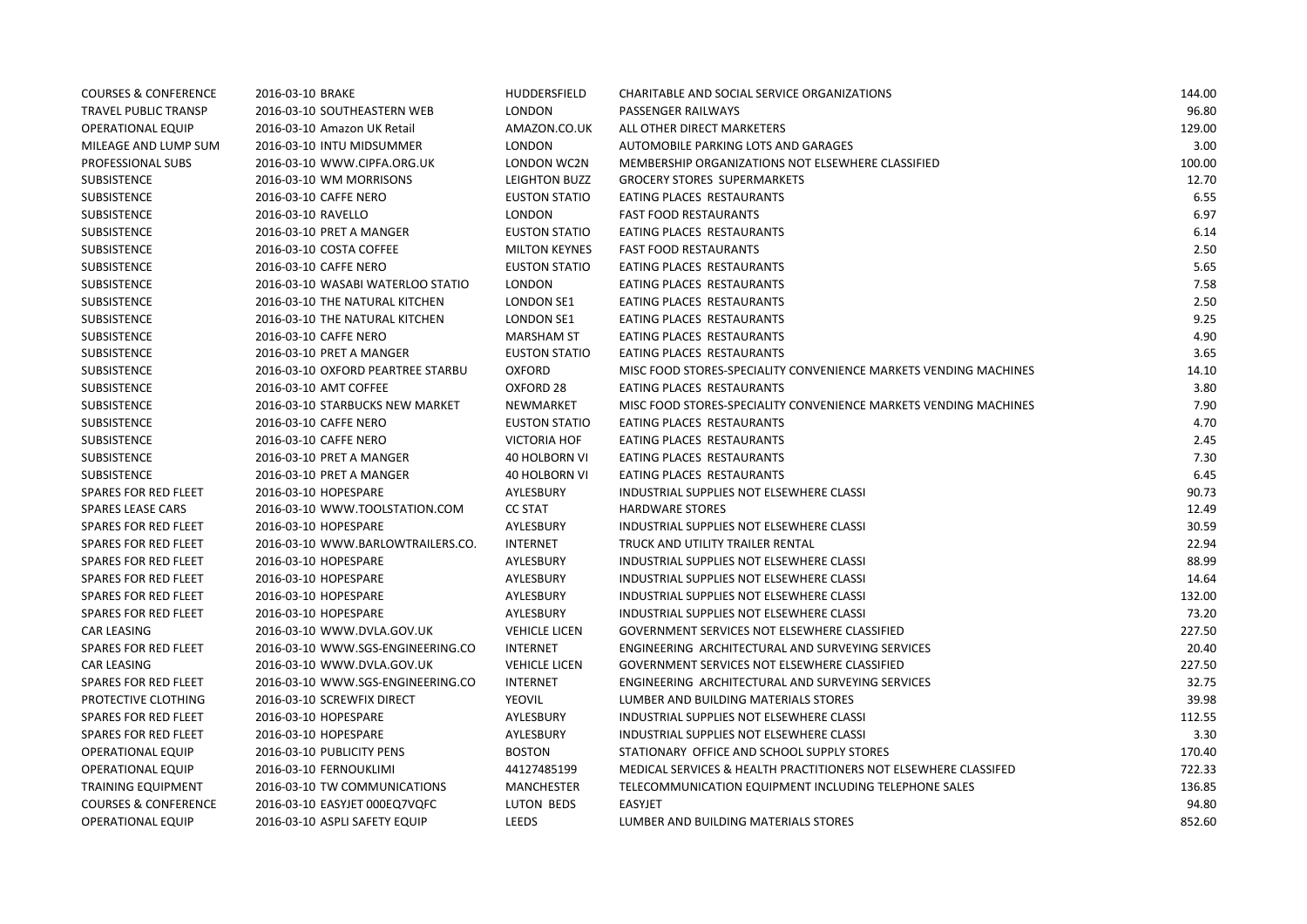| <b>COURSES &amp; CONFERENCE</b> | 2016-03-10 BRAKE                  | HUDDERSFIELD         | CHARITABLE AND SOCIAL SERVICE ORGANIZATIONS                      | 144.00 |
|---------------------------------|-----------------------------------|----------------------|------------------------------------------------------------------|--------|
| <b>TRAVEL PUBLIC TRANSP</b>     | 2016-03-10 SOUTHEASTERN WEB       | LONDON               | PASSENGER RAILWAYS                                               | 96.80  |
| <b>OPERATIONAL EQUIP</b>        | 2016-03-10 Amazon UK Retail       | AMAZON.CO.UK         | ALL OTHER DIRECT MARKETERS                                       | 129.00 |
| MILEAGE AND LUMP SUM            | 2016-03-10 INTU MIDSUMMER         | LONDON               | AUTOMOBILE PARKING LOTS AND GARAGES                              | 3.00   |
| PROFESSIONAL SUBS               | 2016-03-10 WWW.CIPFA.ORG.UK       | LONDON WC2N          | MEMBERSHIP ORGANIZATIONS NOT ELSEWHERE CLASSIFIED                | 100.00 |
| SUBSISTENCE                     | 2016-03-10 WM MORRISONS           | LEIGHTON BUZZ        | <b>GROCERY STORES SUPERMARKETS</b>                               | 12.70  |
| SUBSISTENCE                     | 2016-03-10 CAFFE NERO             | <b>EUSTON STATIO</b> | EATING PLACES RESTAURANTS                                        | 6.55   |
| SUBSISTENCE                     | 2016-03-10 RAVELLO                | <b>LONDON</b>        | <b>FAST FOOD RESTAURANTS</b>                                     | 6.97   |
| SUBSISTENCE                     | 2016-03-10 PRET A MANGER          | <b>EUSTON STATIO</b> | EATING PLACES RESTAURANTS                                        | 6.14   |
| SUBSISTENCE                     | 2016-03-10 COSTA COFFEE           | <b>MILTON KEYNES</b> | <b>FAST FOOD RESTAURANTS</b>                                     | 2.50   |
| SUBSISTENCE                     | 2016-03-10 CAFFE NERO             | <b>EUSTON STATIO</b> | EATING PLACES RESTAURANTS                                        | 5.65   |
| SUBSISTENCE                     | 2016-03-10 WASABI WATERLOO STATIO | LONDON               | EATING PLACES RESTAURANTS                                        | 7.58   |
| SUBSISTENCE                     | 2016-03-10 THE NATURAL KITCHEN    | LONDON SE1           | EATING PLACES RESTAURANTS                                        | 2.50   |
| SUBSISTENCE                     | 2016-03-10 THE NATURAL KITCHEN    | <b>LONDON SE1</b>    | EATING PLACES RESTAURANTS                                        | 9.25   |
| SUBSISTENCE                     | 2016-03-10 CAFFE NERO             | <b>MARSHAM ST</b>    | EATING PLACES RESTAURANTS                                        | 4.90   |
| SUBSISTENCE                     | 2016-03-10 PRET A MANGER          | <b>EUSTON STATIO</b> | EATING PLACES RESTAURANTS                                        | 3.65   |
| SUBSISTENCE                     | 2016-03-10 OXFORD PEARTREE STARBU | <b>OXFORD</b>        | MISC FOOD STORES-SPECIALITY CONVENIENCE MARKETS VENDING MACHINES | 14.10  |
| SUBSISTENCE                     | 2016-03-10 AMT COFFEE             | OXFORD 28            | EATING PLACES RESTAURANTS                                        | 3.80   |
| SUBSISTENCE                     | 2016-03-10 STARBUCKS NEW MARKET   | NEWMARKET            | MISC FOOD STORES-SPECIALITY CONVENIENCE MARKETS VENDING MACHINES | 7.90   |
| SUBSISTENCE                     | 2016-03-10 CAFFE NERO             | <b>EUSTON STATIO</b> | EATING PLACES RESTAURANTS                                        | 4.70   |
| SUBSISTENCE                     | 2016-03-10 CAFFE NERO             | <b>VICTORIA HOF</b>  | EATING PLACES RESTAURANTS                                        | 2.45   |
| SUBSISTENCE                     | 2016-03-10 PRET A MANGER          | 40 HOLBORN VI        | EATING PLACES RESTAURANTS                                        | 7.30   |
| SUBSISTENCE                     | 2016-03-10 PRET A MANGER          | <b>40 HOLBORN VI</b> | EATING PLACES RESTAURANTS                                        | 6.45   |
| SPARES FOR RED FLEET            | 2016-03-10 HOPESPARE              | AYLESBURY            | INDUSTRIAL SUPPLIES NOT ELSEWHERE CLASSI                         | 90.73  |
| <b>SPARES LEASE CARS</b>        | 2016-03-10 WWW.TOOLSTATION.COM    | <b>CC STAT</b>       | <b>HARDWARE STORES</b>                                           | 12.49  |
| SPARES FOR RED FLEET            | 2016-03-10 HOPESPARE              | AYLESBURY            | INDUSTRIAL SUPPLIES NOT ELSEWHERE CLASSI                         | 30.59  |
| SPARES FOR RED FLEET            | 2016-03-10 WWW.BARLOWTRAILERS.CO. | INTERNET             | TRUCK AND UTILITY TRAILER RENTAL                                 | 22.94  |
| <b>SPARES FOR RED FLEET</b>     | 2016-03-10 HOPESPARE              | AYLESBURY            | INDUSTRIAL SUPPLIES NOT ELSEWHERE CLASSI                         | 88.99  |
| SPARES FOR RED FLEET            | 2016-03-10 HOPESPARE              | AYLESBURY            | INDUSTRIAL SUPPLIES NOT ELSEWHERE CLASSI                         | 14.64  |
| SPARES FOR RED FLEET            | 2016-03-10 HOPESPARE              | AYLESBURY            | INDUSTRIAL SUPPLIES NOT ELSEWHERE CLASSI                         | 132.00 |
| <b>SPARES FOR RED FLEET</b>     | 2016-03-10 HOPESPARE              | AYLESBURY            | INDUSTRIAL SUPPLIES NOT ELSEWHERE CLASSI                         | 73.20  |
| <b>CAR LEASING</b>              | 2016-03-10 WWW.DVLA.GOV.UK        | <b>VEHICLE LICEN</b> | <b>GOVERNMENT SERVICES NOT ELSEWHERE CLASSIFIED</b>              | 227.50 |
| <b>SPARES FOR RED FLEET</b>     | 2016-03-10 WWW.SGS-ENGINEERING.CO | <b>INTERNET</b>      | ENGINEERING ARCHITECTURAL AND SURVEYING SERVICES                 | 20.40  |
| <b>CAR LEASING</b>              | 2016-03-10 WWW.DVLA.GOV.UK        | <b>VEHICLE LICEN</b> | GOVERNMENT SERVICES NOT ELSEWHERE CLASSIFIED                     | 227.50 |
| SPARES FOR RED FLEET            | 2016-03-10 WWW.SGS-ENGINEERING.CO | <b>INTERNET</b>      | ENGINEERING ARCHITECTURAL AND SURVEYING SERVICES                 | 32.75  |
| PROTECTIVE CLOTHING             | 2016-03-10 SCREWFIX DIRECT        | YEOVIL               | LUMBER AND BUILDING MATERIALS STORES                             | 39.98  |
| <b>SPARES FOR RED FLEET</b>     | 2016-03-10 HOPESPARE              | AYLESBURY            | INDUSTRIAL SUPPLIES NOT ELSEWHERE CLASSI                         | 112.55 |
| SPARES FOR RED FLEET            | 2016-03-10 HOPESPARE              | AYLESBURY            | INDUSTRIAL SUPPLIES NOT ELSEWHERE CLASSI                         | 3.30   |
| <b>OPERATIONAL EQUIP</b>        | 2016-03-10 PUBLICITY PENS         | <b>BOSTON</b>        | STATIONARY OFFICE AND SCHOOL SUPPLY STORES                       | 170.40 |
| <b>OPERATIONAL EQUIP</b>        | 2016-03-10 FERNOUKLIMI            | 44127485199          | MEDICAL SERVICES & HEALTH PRACTITIONERS NOT ELSEWHERE CLASSIFED  | 722.33 |
| <b>TRAINING EQUIPMENT</b>       | 2016-03-10 TW COMMUNICATIONS      | <b>MANCHESTER</b>    | TELECOMMUNICATION EQUIPMENT INCLUDING TELEPHONE SALES            | 136.85 |
| <b>COURSES &amp; CONFERENCE</b> | 2016-03-10 EASYJET 000EQ7VQFC     | LUTON BEDS           | <b>EASYJET</b>                                                   | 94.80  |
| <b>OPERATIONAL EQUIP</b>        | 2016-03-10 ASPLI SAFETY EQUIP     | LEEDS                | LUMBER AND BUILDING MATERIALS STORES                             | 852.60 |